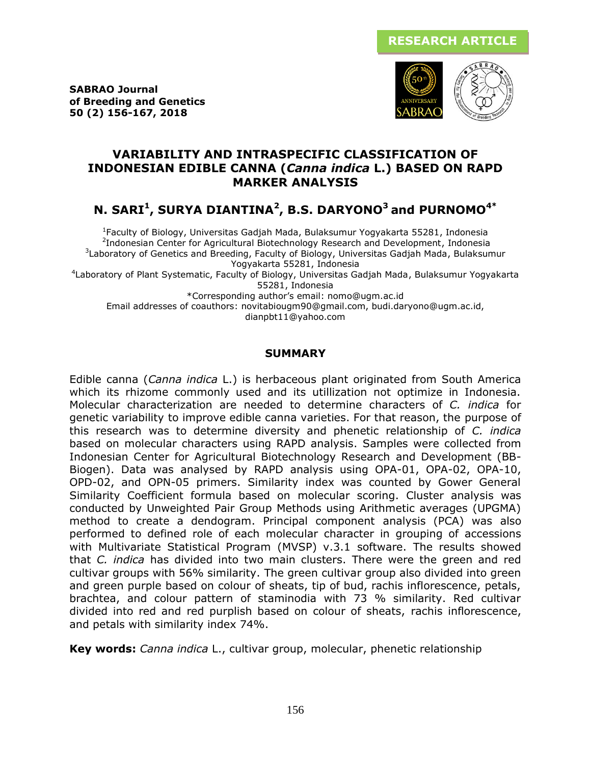**SABRAO Journal of Breeding and Genetics 50 (2) 156-167, 2018**



## **VARIABILITY AND INTRASPECIFIC CLASSIFICATION OF INDONESIAN EDIBLE CANNA (***Canna indica* **L.) BASED ON RAPD MARKER ANALYSIS**

# **N. SARI<sup>1</sup> , SURYA DIANTINA<sup>2</sup> , B.S. DARYONO<sup>3</sup> and PURNOMO4\***

1 Faculty of Biology, Universitas Gadjah Mada, Bulaksumur Yogyakarta 55281, Indonesia <sup>2</sup>Indonesian Center for Agricultural Biotechnology Research and Development, Indonesia <sup>3</sup>Laboratory of Genetics and Breeding, Faculty of Biology, Universitas Gadjah Mada, Bulaksumur Yogyakarta 55281, Indonesia

4 Laboratory of Plant Systematic, Faculty of Biology, Universitas Gadjah Mada, Bulaksumur Yogyakarta 55281, Indonesia

\*Corresponding author's email: nomo@ugm.ac.id

Email addresses of coauthors: novitabiougm90@gmail.com, budi.daryono@ugm.ac.id, dianpbt11@yahoo.com

#### **SUMMARY**

Edible canna (*Canna indica* L.) is herbaceous plant originated from South America which its rhizome commonly used and its utillization not optimize in Indonesia. Molecular characterization are needed to determine characters of *C. indica* for genetic variability to improve edible canna varieties. For that reason, the purpose of this research was to determine diversity and phenetic relationship of *C. indica* based on molecular characters using RAPD analysis. Samples were collected from Indonesian Center for Agricultural Biotechnology Research and Development (BB-Biogen). Data was analysed by RAPD analysis using OPA-01, OPA-02, OPA-10, OPD-02, and OPN-05 primers. Similarity index was counted by Gower General Similarity Coefficient formula based on molecular scoring. Cluster analysis was conducted by Unweighted Pair Group Methods using Arithmetic averages (UPGMA) method to create a dendogram. Principal component analysis (PCA) was also performed to defined role of each molecular character in grouping of accessions with Multivariate Statistical Program (MVSP) v.3.1 software. The results showed that *C. indica* has divided into two main clusters. There were the green and red cultivar groups with 56% similarity. The green cultivar group also divided into green and green purple based on colour of sheats, tip of bud, rachis inflorescence, petals, brachtea, and colour pattern of staminodia with 73 % similarity. Red cultivar divided into red and red purplish based on colour of sheats, rachis inflorescence, and petals with similarity index 74%.

**Key words:** *Canna indica* L., cultivar group, molecular, phenetic relationship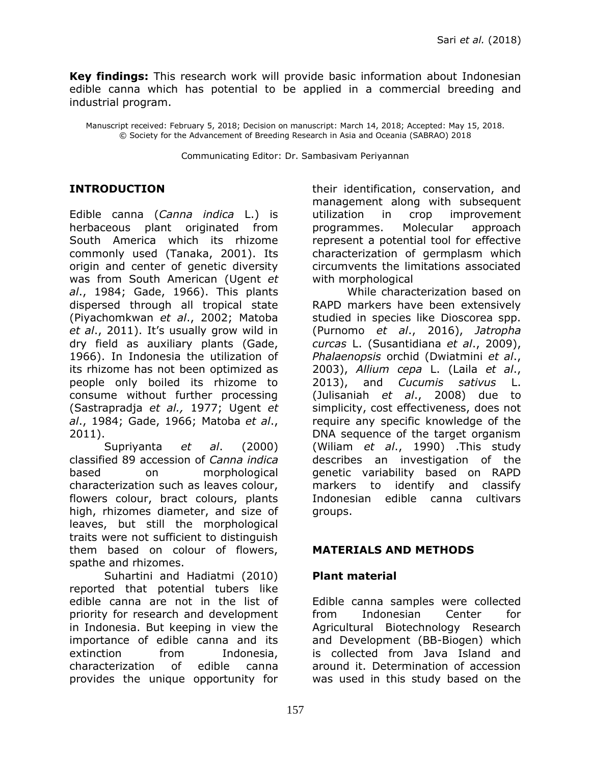**Key findings:** This research work will provide basic information about Indonesian edible canna which has potential to be applied in a commercial breeding and industrial program.

Manuscript received: February 5, 2018; Decision on manuscript: March 14, 2018; Accepted: May 15, 2018. © Society for the Advancement of Breeding Research in Asia and Oceania (SABRAO) 2018

Communicating Editor: Dr. Sambasivam Periyannan

#### **INTRODUCTION**

Edible canna (*Canna indica* L.) is herbaceous plant originated from South America which its rhizome commonly used (Tanaka, 2001). Its origin and center of genetic diversity was from South American (Ugent *et al*., 1984; Gade, 1966). This plants dispersed through all tropical state (Piyachomkwan *et al*., 2002; Matoba *et al*., 2011). It's usually grow wild in dry field as auxiliary plants (Gade, 1966). In Indonesia the utilization of its rhizome has not been optimized as people only boiled its rhizome to consume without further processing (Sastrapradja *et al.,* 1977; Ugent *et al*., 1984; Gade, 1966; Matoba *et al*., 2011).

Supriyanta *et al*. (2000) classified 89 accession of *Canna indica* based on morphological characterization such as leaves colour, flowers colour, bract colours, plants high, rhizomes diameter, and size of leaves, but still the morphological traits were not sufficient to distinguish them based on colour of flowers, spathe and rhizomes.

Suhartini and Hadiatmi (2010) reported that potential tubers like edible canna are not in the list of priority for research and development in Indonesia. But keeping in view the importance of edible canna and its extinction from Indonesia, characterization of edible canna provides the unique opportunity for

their identification, conservation, and management along with subsequent utilization in crop improvement programmes. Molecular approach represent a potential tool for effective characterization of germplasm which circumvents the limitations associated with morphological

While characterization based on RAPD markers have been extensively studied in species like Dioscorea spp. (Purnomo *et al*., 2016), *Jatropha curcas* L. (Susantidiana *et al*., 2009), *Phalaenopsis* orchid (Dwiatmini *et al*., 2003), *Allium cepa* L. (Laila *et al*., 2013), and *Cucumis sativus* L. (Julisaniah *et al*., 2008) due to simplicity, cost effectiveness, does not require any specific knowledge of the DNA sequence of the target organism (Wiliam *et al*., 1990) .This study describes an investigation of the genetic variability based on RAPD markers to identify and classify Indonesian edible canna cultivars groups.

#### **MATERIALS AND METHODS**

#### **Plant material**

Edible canna samples were collected from Indonesian Center for Agricultural Biotechnology Research and Development (BB-Biogen) which is collected from Java Island and around it. Determination of accession was used in this study based on the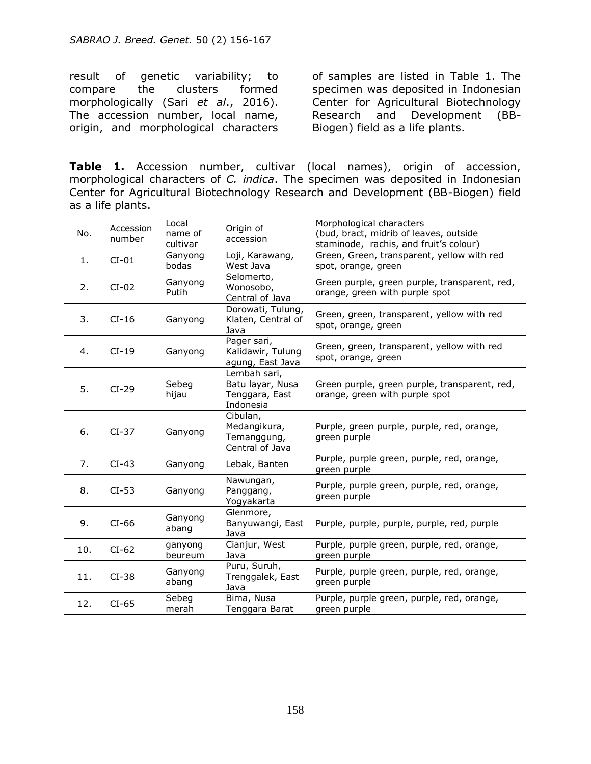result of genetic variability; to compare the clusters formed morphologically (Sari *et al*., 2016). The accession number, local name, origin, and morphological characters

of samples are listed in Table 1. The specimen was deposited in Indonesian Center for Agricultural Biotechnology Research and Development (BB-Biogen) field as a life plants.

**Table 1.** Accession number, cultivar (local names), origin of accession, morphological characters of *C. indica*. The specimen was deposited in Indonesian Center for Agricultural Biotechnology Research and Development (BB-Biogen) field as a life plants.

| No. | Accession<br>number | Local<br>name of<br>cultivar | Origin of<br>accession                                          | Morphological characters<br>(bud, bract, midrib of leaves, outside<br>staminode, rachis, and fruit's colour) |  |
|-----|---------------------|------------------------------|-----------------------------------------------------------------|--------------------------------------------------------------------------------------------------------------|--|
| 1.  | $CI-01$             | Ganyong<br>bodas             | Loji, Karawang,<br>West Java                                    | Green, Green, transparent, yellow with red<br>spot, orange, green                                            |  |
| 2.  | $CI-02$             | Ganyong<br>Putih             | Selomerto,<br>Wonosobo,<br>Central of Java                      | Green purple, green purple, transparent, red,<br>orange, green with purple spot                              |  |
| 3.  | $CI-16$             | Ganyong                      | Dorowati, Tulung,<br>Klaten, Central of<br>Java                 | Green, green, transparent, yellow with red<br>spot, orange, green                                            |  |
| 4.  | $CI-19$             | Ganyong                      | Pager sari,<br>Kalidawir, Tulung<br>agung, East Java            | Green, green, transparent, yellow with red<br>spot, orange, green                                            |  |
| 5.  | $CI-29$             | Sebeg<br>hijau               | Lembah sari,<br>Batu layar, Nusa<br>Tenggara, East<br>Indonesia | Green purple, green purple, transparent, red,<br>orange, green with purple spot                              |  |
| 6.  | $CI-37$             | Ganyong                      | Cibulan,<br>Medangikura,<br>Temanggung,<br>Central of Java      | Purple, green purple, purple, red, orange,<br>green purple                                                   |  |
| 7.  | $CI-43$             | Ganyong                      | Lebak, Banten                                                   | Purple, purple green, purple, red, orange,<br>green purple                                                   |  |
| 8.  | $CI-53$             | Ganyong                      | Nawungan,<br>Panggang,<br>Yogyakarta                            | Purple, purple green, purple, red, orange,<br>green purple                                                   |  |
| 9.  | $CI-66$             | Ganyong<br>abang             | Glenmore,<br>Banyuwangi, East<br>Java                           | Purple, purple, purple, purple, red, purple                                                                  |  |
| 10. | $CI-62$             | ganyong<br>beureum           | Cianjur, West<br>Java                                           | Purple, purple green, purple, red, orange,<br>green purple                                                   |  |
| 11. | $CI-38$             | Ganyong<br>abang             | Puru, Suruh,<br>Trenggalek, East<br>Java                        | Purple, purple green, purple, red, orange,<br>green purple                                                   |  |
| 12. | $CI-65$             | Sebeg<br>merah               | Bima, Nusa<br>Tenggara Barat                                    | Purple, purple green, purple, red, orange,<br>green purple                                                   |  |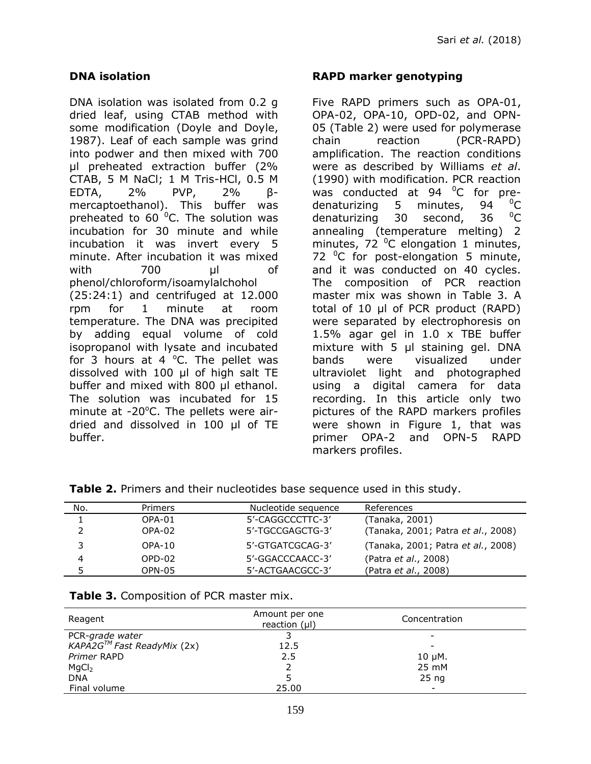#### **DNA isolation**

DNA isolation was isolated from 0.2 g dried leaf, using CTAB method with some modification (Doyle and Doyle, 1987). Leaf of each sample was grind into podwer and then mixed with 700 µl preheated extraction buffer (2% CTAB, 5 M NaCl; 1 M Tris-HCl, 0.5 M EDTA, 2% PVP, 2% βmercaptoethanol). This buffer was preheated to 60 $^{\circ}$ C. The solution was incubation for 30 minute and while incubation it was invert every 5 minute. After incubation it was mixed with 700 µl of phenol/chloroform/isoamylalchohol (25:24:1) and centrifuged at 12.000 rpm for 1 minute at room temperature. The DNA was precipited by adding equal volume of cold isopropanol with lysate and incubated for 3 hours at 4  $^{\circ}$ C. The pellet was dissolved with 100 µl of high salt TE buffer and mixed with 800 µl ethanol. The solution was incubated for 15 minute at  $-20^{\circ}$ C. The pellets were airdried and dissolved in 100 µl of TE buffer.

#### **RAPD marker genotyping**

Five RAPD primers such as OPA-01, OPA-02, OPA-10, OPD-02, and OPN-05 (Table 2) were used for polymerase chain reaction (PCR-RAPD) amplification. The reaction conditions were as described by Williams *et al*. (1990) with modification. PCR reaction was conducted at 94 $\degree$ C for predenaturizing 5 minutes, 94 <sup>o</sup>C denaturizing 30 second, 36  $^{0}C$ annealing (temperature melting) 2 minutes, 72 $^{\circ}$ C elongation 1 minutes, 72  $^0C$  for post-elongation 5 minute, and it was conducted on 40 cycles. The composition of PCR reaction master mix was shown in Table 3. A total of 10 μl of PCR product (RAPD) were separated by electrophoresis on 1.5% agar gel in 1.0 x TBE buffer mixture with 5 μl staining gel. DNA bands were visualized under ultraviolet light and photographed using a digital camera for data recording. In this article only two pictures of the RAPD markers profiles were shown in Figure 1, that was primer OPA-2 and OPN-5 RAPD markers profiles.

| <b>TWATE</b> THIRD ONE CHOIL HOOCCOOD DOOG SOGGONICG GOOG IN CHIS SCOUT. |                |                     |                                    |  |  |  |  |
|--------------------------------------------------------------------------|----------------|---------------------|------------------------------------|--|--|--|--|
| No.                                                                      | <b>Primers</b> | Nucleotide sequence | References                         |  |  |  |  |
|                                                                          | OPA-01         | 5'-CAGGCCCTTC-3'    | (Tanaka, 2001)                     |  |  |  |  |
|                                                                          | OPA-02         | 5'-TGCCGAGCTG-3'    | (Tanaka, 2001; Patra et al., 2008) |  |  |  |  |
| 3                                                                        | $OPA-10$       | 5'-GTGATCGCAG-3'    | (Tanaka, 2001; Patra et al., 2008) |  |  |  |  |
| 4                                                                        | OPD-02         | 5'-GGACCCAACC-3'    | (Patra et al., 2008)               |  |  |  |  |
|                                                                          | OPN-05         | 5'-ACTGAACGCC-3'    | (Patra et al., 2008)               |  |  |  |  |

**Table 2.** Primers and their nucleotides base sequence used in this study.

**Table 3.** Composition of PCR master mix.

| Reagent                                | Amount per one<br>reaction $(\mu I)$ | Concentration    |  |
|----------------------------------------|--------------------------------------|------------------|--|
| PCR-grade water                        |                                      | -                |  |
| KAPA2G <sup>™</sup> Fast ReadyMix (2x) | 12.5                                 |                  |  |
| Primer RAPD                            | 2.5                                  | $10 \mu$ M.      |  |
| MgCl <sub>2</sub>                      |                                      | 25 mM            |  |
| <b>DNA</b>                             |                                      | 25 <sub>ng</sub> |  |
| Final volume                           | 25.00                                | -                |  |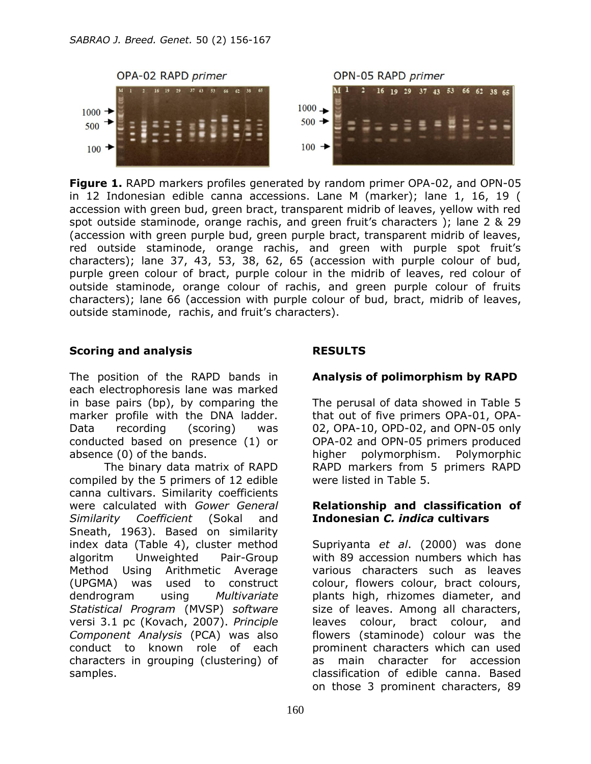

**Figure 1.** RAPD markers profiles generated by random primer OPA-02, and OPN-05 in 12 Indonesian edible canna accessions. Lane M (marker); lane 1, 16, 19 ( accession with green bud, green bract, transparent midrib of leaves, yellow with red spot outside staminode, orange rachis, and green fruit's characters ); lane 2 & 29 (accession with green purple bud, green purple bract, transparent midrib of leaves, red outside staminode, orange rachis, and green with purple spot fruit's characters); lane 37, 43, 53, 38, 62, 65 (accession with purple colour of bud, purple green colour of bract, purple colour in the midrib of leaves, red colour of outside staminode, orange colour of rachis, and green purple colour of fruits characters); lane 66 (accession with purple colour of bud, bract, midrib of leaves, outside staminode, rachis, and fruit's characters).

#### **Scoring and analysis**

The position of the RAPD bands in each electrophoresis lane was marked in base pairs (bp), by comparing the marker profile with the DNA ladder. Data recording (scoring) was conducted based on presence (1) or absence (0) of the bands.

The binary data matrix of RAPD compiled by the 5 primers of 12 edible canna cultivars. Similarity coefficients were calculated with *Gower General Similarity Coefficient* (Sokal and Sneath, 1963). Based on similarity index data (Table 4), cluster method algoritm Unweighted Pair-Group Method Using Arithmetic Average (UPGMA) was used to construct dendrogram using *Multivariate Statistical Program* (MVSP) *software* versi 3.1 pc (Kovach, 2007). *Principle Component Analysis* (PCA) was also conduct to known role of each characters in grouping (clustering) of samples.

## **RESULTS**

## **Analysis of polimorphism by RAPD**

The perusal of data showed in Table 5 that out of five primers OPA-01, OPA-02, OPA-10, OPD-02, and OPN-05 only OPA-02 and OPN-05 primers produced higher polymorphism. Polymorphic RAPD markers from 5 primers RAPD were listed in Table 5.

#### **Relationship and classification of Indonesian** *C. indica* **cultivars**

Supriyanta *et al*. (2000) was done with 89 accession numbers which has various characters such as leaves colour, flowers colour, bract colours, plants high, rhizomes diameter, and size of leaves. Among all characters, leaves colour, bract colour, and flowers (staminode) colour was the prominent characters which can used as main character for accession classification of edible canna. Based on those 3 prominent characters, 89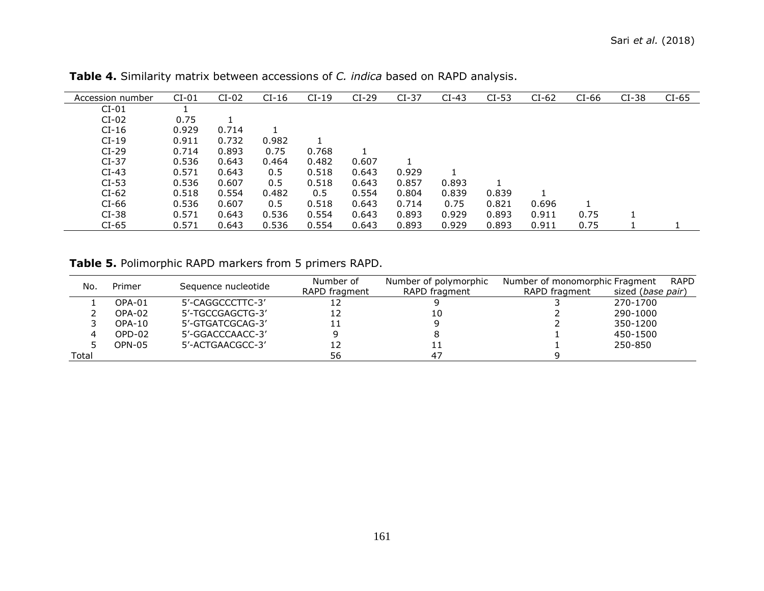| Accession number | $CI-01$ | $CI-02$ | $CI-16$ | $CI-19$ | $CI-29$ | $CI-37$ | $CI-43$ | $CI-53$ | $CI-62$ | $CI-66$ | $CI-38$ | $CI-65$ |
|------------------|---------|---------|---------|---------|---------|---------|---------|---------|---------|---------|---------|---------|
| $CI-01$          |         |         |         |         |         |         |         |         |         |         |         |         |
| $CI-02$          | 0.75    |         |         |         |         |         |         |         |         |         |         |         |
| $CI-16$          | 0.929   | 0.714   |         |         |         |         |         |         |         |         |         |         |
| $CI-19$          | 0.911   | 0.732   | 0.982   |         |         |         |         |         |         |         |         |         |
| $CI-29$          | 0.714   | 0.893   | 0.75    | 0.768   |         |         |         |         |         |         |         |         |
| $CI-37$          | 0.536   | 0.643   | 0.464   | 0.482   | 0.607   |         |         |         |         |         |         |         |
| $CI-43$          | 0.571   | 0.643   | 0.5     | 0.518   | 0.643   | 0.929   |         |         |         |         |         |         |
| $CI-53$          | 0.536   | 0.607   | 0.5     | 0.518   | 0.643   | 0.857   | 0.893   |         |         |         |         |         |
| $CI-62$          | 0.518   | 0.554   | 0.482   | 0.5     | 0.554   | 0.804   | 0.839   | 0.839   |         |         |         |         |
| $CI-66$          | 0.536   | 0.607   | 0.5     | 0.518   | 0.643   | 0.714   | 0.75    | 0.821   | 0.696   |         |         |         |
| $CI-38$          | 0.571   | 0.643   | 0.536   | 0.554   | 0.643   | 0.893   | 0.929   | 0.893   | 0.911   | 0.75    |         |         |
| $CI-65$          | 0.571   | 0.643   | 0.536   | 0.554   | 0.643   | 0.893   | 0.929   | 0.893   | 0.911   | 0.75    |         |         |

**Table 4.** Similarity matrix between accessions of *C. indica* based on RAPD analysis.

**Table 5.** Polimorphic RAPD markers from 5 primers RAPD.

| No.<br>Primer |        | Sequence nucleotide | Number of     | Number of polymorphic | <b>RAPD</b><br>Number of monomorphic Fragment |                            |  |
|---------------|--------|---------------------|---------------|-----------------------|-----------------------------------------------|----------------------------|--|
|               |        |                     | RAPD fragment | RAPD fragment         | RAPD fragment                                 | sized ( <i>base pair</i> ) |  |
|               | OPA-01 | 5'-CAGGCCCTTC-3'    |               |                       |                                               | 270-1700                   |  |
|               | OPA-02 | 5'-TGCCGAGCTG-3'    |               | 10                    |                                               | 290-1000                   |  |
|               | OPA-10 | 5'-GTGATCGCAG-3'    |               |                       |                                               | 350-1200                   |  |
|               | OPD-02 | 5'-GGACCCAACC-3'    |               |                       |                                               | 450-1500                   |  |
|               | OPN-05 | 5'-ACTGAACGCC-3'    | 12            |                       |                                               | 250-850                    |  |
| Total         |        |                     | 56            | 47                    |                                               |                            |  |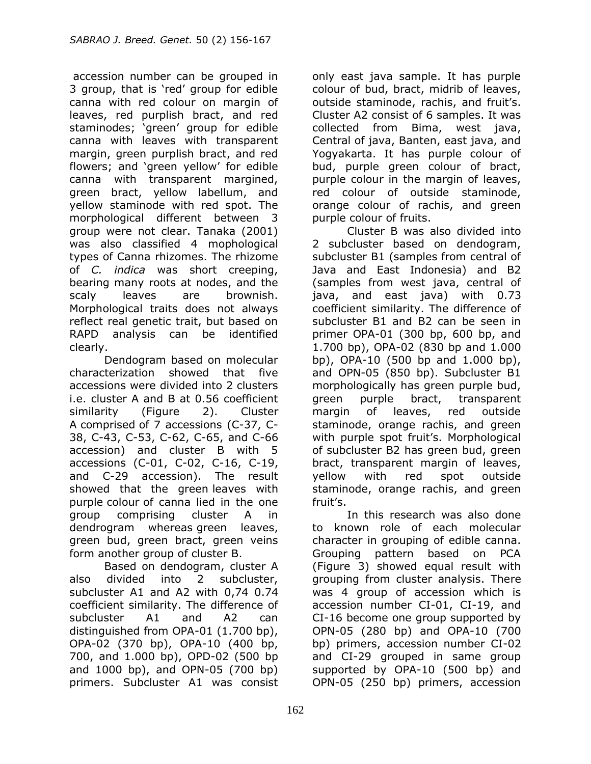accession number can be grouped in 3 group, that is 'red' group for edible canna with red colour on margin of leaves, red purplish bract, and red staminodes; 'green' group for edible canna with leaves with transparent margin, green purplish bract, and red flowers; and 'green yellow' for edible canna with transparent margined, green bract, yellow labellum, and yellow staminode with red spot. The morphological different between 3 group were not clear. Tanaka (2001) was also classified 4 mophological types of Canna rhizomes. The rhizome of *C. indica* was short creeping, bearing many roots at nodes, and the scaly leaves are brownish. Morphological traits does not always reflect real genetic trait, but based on RAPD analysis can be identified clearly.

Dendogram based on molecular characterization showed that five accessions were divided into 2 clusters i.e. cluster A and B at 0.56 coefficient similarity (Figure 2). Cluster A comprised of 7 accessions (C-37, C-38, C-43, C-53, C-62, C-65, and C-66 accession) and cluster B with 5 accessions (C-01, C-02, C-16, C-19, and C-29 accession). The result showed that the green leaves with purple colour of canna lied in the one group comprising cluster A in dendrogram whereas green leaves, green bud, green bract, green veins form another group of cluster B.

Based on dendogram, cluster A also divided into 2 subcluster, subcluster A1 and A2 with 0,74 0.74 coefficient similarity. The difference of subcluster A1 and A2 can distinguished from OPA-01 (1.700 bp), OPA-02 (370 bp), OPA-10 (400 bp, 700, and 1.000 bp), OPD-02 (500 bp and 1000 bp), and OPN-05 (700 bp) primers. Subcluster A1 was consist

only east java sample. It has purple colour of bud, bract, midrib of leaves, outside staminode, rachis, and fruit's. Cluster A2 consist of 6 samples. It was collected from Bima, west java, Central of java, Banten, east java, and Yogyakarta. It has purple colour of bud, purple green colour of bract, purple colour in the margin of leaves, red colour of outside staminode, orange colour of rachis, and green purple colour of fruits.

Cluster B was also divided into 2 subcluster based on dendogram, subcluster B1 (samples from central of Java and East Indonesia) and B2 (samples from west java, central of java, and east java) with 0.73 coefficient similarity. The difference of subcluster B1 and B2 can be seen in primer OPA-01 (300 bp, 600 bp, and 1.700 bp), OPA-02 (830 bp and 1.000 bp), OPA-10 (500 bp and 1.000 bp), and OPN-05 (850 bp). Subcluster B1 morphologically has green purple bud, green purple bract, transparent margin of leaves, red outside staminode, orange rachis, and green with purple spot fruit's. Morphological of subcluster B2 has green bud, green bract, transparent margin of leaves, yellow with red spot outside staminode, orange rachis, and green fruit's.

In this research was also done to known role of each molecular character in grouping of edible canna. Grouping pattern based on PCA (Figure 3) showed equal result with grouping from cluster analysis. There was 4 group of accession which is accession number CI-01, CI-19, and CI-16 become one group supported by OPN-05 (280 bp) and OPA-10 (700 bp) primers, accession number CI-02 and CI-29 grouped in same group supported by OPA-10 (500 bp) and OPN-05 (250 bp) primers, accession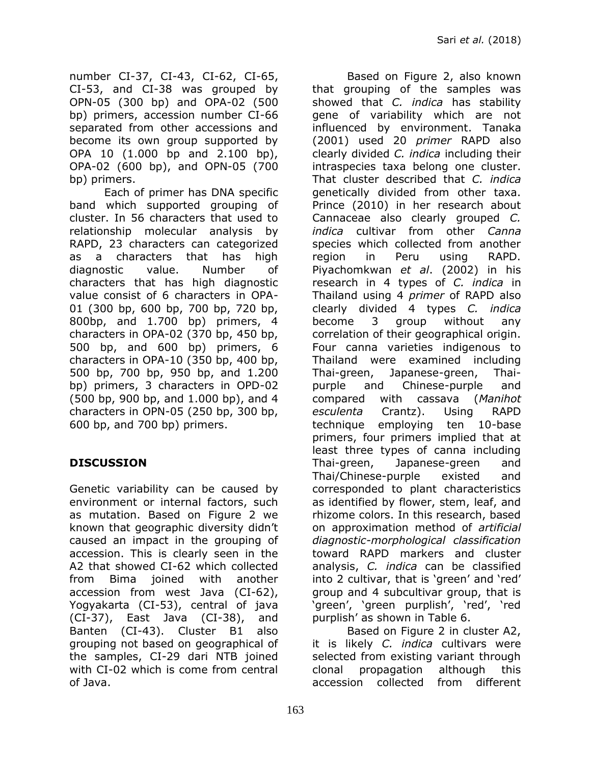number CI-37, CI-43, CI-62, CI-65, CI-53, and CI-38 was grouped by OPN-05 (300 bp) and OPA-02 (500 bp) primers, accession number CI-66 separated from other accessions and become its own group supported by OPA 10 (1.000 bp and 2.100 bp), OPA-02 (600 bp), and OPN-05 (700 bp) primers.

Each of primer has DNA specific band which supported grouping of cluster. In 56 characters that used to relationship molecular analysis by RAPD, 23 characters can categorized as a characters that has high diagnostic value. Number of characters that has high diagnostic value consist of 6 characters in OPA-01 (300 bp, 600 bp, 700 bp, 720 bp, 800bp, and 1.700 bp) primers, 4 characters in OPA-02 (370 bp, 450 bp, 500 bp, and 600 bp) primers, 6 characters in OPA-10 (350 bp, 400 bp, 500 bp, 700 bp, 950 bp, and 1.200 bp) primers, 3 characters in OPD-02 (500 bp, 900 bp, and 1.000 bp), and 4 characters in OPN-05 (250 bp, 300 bp, 600 bp, and 700 bp) primers.

## **DISCUSSION**

Genetic variability can be caused by environment or internal factors, such as mutation. Based on Figure 2 we known that geographic diversity didn't caused an impact in the grouping of accession. This is clearly seen in the A2 that showed CI-62 which collected from Bima joined with another accession from west Java (CI-62), Yogyakarta (CI-53), central of java (CI-37), East Java (CI-38), and Banten (CI-43). Cluster B1 also grouping not based on geographical of the samples, CI-29 dari NTB joined with CI-02 which is come from central of Java.

Based on Figure 2, also known that grouping of the samples was showed that *C. indica* has stability gene of variability which are not influenced by environment. Tanaka (2001) used 20 *primer* RAPD also clearly divided *C. indica* including their intraspecies taxa belong one cluster. That cluster described that *C. indica* genetically divided from other taxa. Prince (2010) in her research about Cannaceae also clearly grouped *C. indica* cultivar from other *Canna* species which collected from another region in Peru using RAPD. Piyachomkwan *et al*. (2002) in his research in 4 types of *C. indica* in Thailand using 4 *primer* of RAPD also clearly divided 4 types *C. indica* become 3 group without any correlation of their geographical origin. Four canna varieties indigenous to Thailand were examined including Thai-green, Japanese-green, Thaipurple and Chinese-purple and compared with cassava (*Manihot esculenta* Crantz). Using RAPD technique employing ten 10-base primers, four primers implied that at least three types of canna including Thai-green, Japanese-green and Thai/Chinese-purple existed and corresponded to plant characteristics as identified by flower, stem, leaf, and rhizome colors. In this research, based on approximation method of *artificial diagnostic-morphological classification* toward RAPD markers and cluster analysis, *C. indica* can be classified into 2 cultivar, that is 'green' and 'red' group and 4 subcultivar group, that is 'green', 'green purplish', 'red', 'red purplish' as shown in Table 6.

Based on Figure 2 in cluster A2, it is likely *C. indica* cultivars were selected from existing variant through clonal propagation although this accession collected from different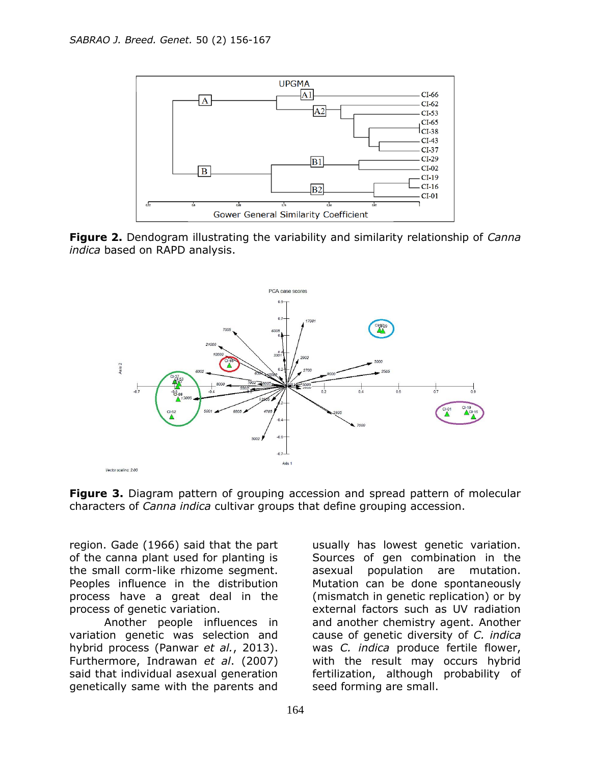

**Figure 2.** Dendogram illustrating the variability and similarity relationship of *Canna indica* based on RAPD analysis.



**Figure 3.** Diagram pattern of grouping accession and spread pattern of molecular characters of *Canna indica* cultivar groups that define grouping accession.

region. Gade (1966) said that the part of the canna plant used for planting is the small corm-like rhizome segment. Peoples influence in the distribution process have a great deal in the process of genetic variation.

Another people influences in variation genetic was selection and hybrid process (Panwar *et al.*, 2013). Furthermore, Indrawan *et al*. (2007) said that individual asexual generation genetically same with the parents and

usually has lowest genetic variation. Sources of gen combination in the asexual population are mutation. Mutation can be done spontaneously (mismatch in genetic replication) or by external factors such as UV radiation and another chemistry agent. Another cause of genetic diversity of *C. indica*  was *C. indica* produce fertile flower, with the result may occurs hybrid fertilization, although probability of seed forming are small.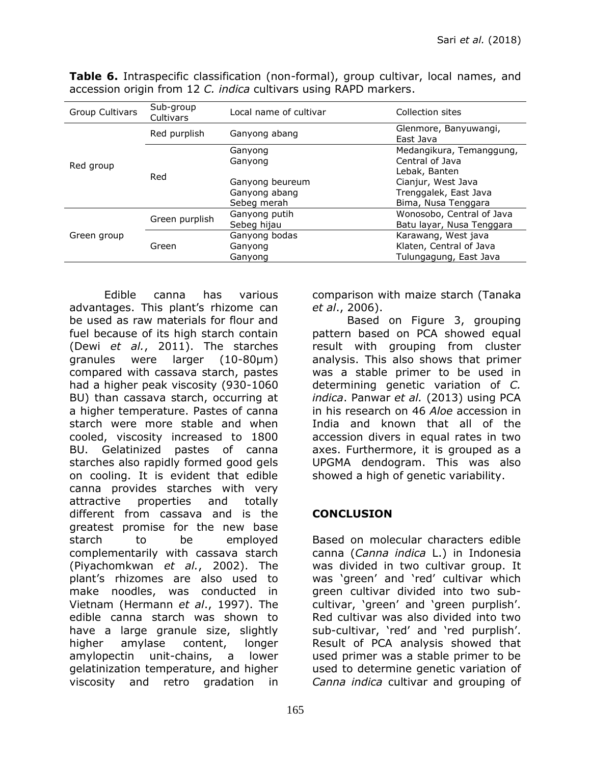| Group Cultivars | Sub-group<br>Cultivars | Local name of cultivar | Collection sites                   |  |
|-----------------|------------------------|------------------------|------------------------------------|--|
|                 | Red purplish           | Ganyong abang          | Glenmore, Banyuwangi,<br>East Java |  |
|                 |                        | Ganyong                | Medangikura, Temanggung,           |  |
| Red group       |                        | Ganyong                | Central of Java<br>Lebak, Banten   |  |
|                 | Red                    | Ganyong beureum        | Cianjur, West Java                 |  |
|                 |                        | Ganyong abang          | Trenggalek, East Java              |  |
|                 |                        | Sebeg merah            | Bima, Nusa Tenggara                |  |
|                 |                        | Ganyong putih          | Wonosobo, Central of Java          |  |
|                 | Green purplish         | Sebeg hijau            | Batu layar, Nusa Tenggara          |  |
| Green group     |                        | Ganyong bodas          | Karawang, West java                |  |
|                 | Green                  | Ganyong                | Klaten, Central of Java            |  |
|                 |                        | Ganyong                | Tulungagung, East Java             |  |

**Table 6.** Intraspecific classification (non-formal), group cultivar, local names, and accession origin from 12 *C. indica* cultivars using RAPD markers.

Edible canna has various advantages. This plant's rhizome can be used as raw materials for flour and fuel because of its high starch contain (Dewi *et al.*, 2011). The starches granules were larger (10-80µm) compared with cassava starch, pastes had a higher peak viscosity (930-1060 BU) than cassava starch, occurring at a higher temperature. Pastes of canna starch were more stable and when cooled, viscosity increased to 1800 BU. Gelatinized pastes of canna starches also rapidly formed good gels on cooling. It is evident that edible canna provides starches with very attractive properties and totally different from cassava and is the greatest promise for the new base starch to be employed complementarily with cassava starch (Piyachomkwan *et al.*, 2002). The plant's rhizomes are also used to make noodles, was conducted in Vietnam (Hermann *et al*., 1997). The edible canna starch was shown to have a large granule size, slightly higher amylase content, longer amylopectin unit-chains, a lower gelatinization temperature, and higher viscosity and retro gradation in

comparison with maize starch (Tanaka *et al*., 2006).

Based on Figure 3, grouping pattern based on PCA showed equal result with grouping from cluster analysis. This also shows that primer was a stable primer to be used in determining genetic variation of *C. indica*. Panwar *et al.* (2013) using PCA in his research on 46 *Aloe* accession in India and known that all of the accession divers in equal rates in two axes. Furthermore, it is grouped as a UPGMA dendogram. This was also showed a high of genetic variability.

### **CONCLUSION**

Based on molecular characters edible canna (*Canna indica* L.) in Indonesia was divided in two cultivar group. It was 'green' and 'red' cultivar which green cultivar divided into two subcultivar, 'green' and 'green purplish'. Red cultivar was also divided into two sub-cultivar, 'red' and 'red purplish'. Result of PCA analysis showed that used primer was a stable primer to be used to determine genetic variation of *Canna indica* cultivar and grouping of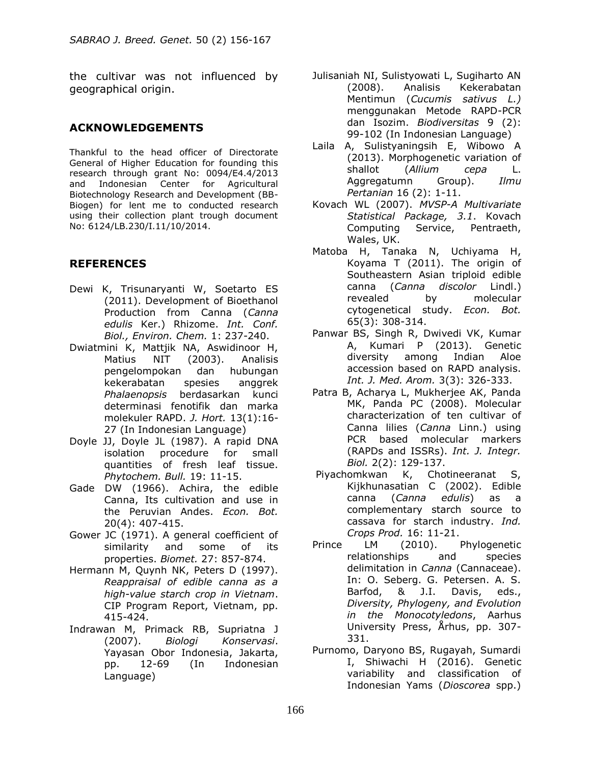the cultivar was not influenced by geographical origin.

#### **ACKNOWLEDGEMENTS**

Thankful to the head officer of Directorate General of Higher Education for founding this research through grant No: 0094/E4.4/2013 and Indonesian Center for Agricultural Biotechnology Research and Development (BB-Biogen) for lent me to conducted research using their collection plant trough document No: 6124/LB.230/I.11/10/2014.

#### **REFERENCES**

- Dewi K, Trisunaryanti W, Soetarto ES (2011). Development of Bioethanol Production from Canna (*Canna edulis* Ker.) Rhizome. *Int. Conf. Biol., Environ. Chem.* 1: 237-240.
- Dwiatmini K, Mattjik NA, Aswidinoor H, Matius NIT (2003). Analisis pengelompokan dan hubungan kekerabatan spesies anggrek *Phalaenopsis* berdasarkan kunci determinasi fenotifik dan marka molekuler RAPD. *J. Hort.* 13(1):16- 27 (In Indonesian Language)
- Doyle JJ, Doyle JL (1987). A rapid DNA isolation procedure for small quantities of fresh leaf tissue. *Phytochem. Bull.* 19: 11-15.
- Gade DW (1966). Achira, the edible Canna, Its cultivation and use in the Peruvian Andes. *Econ. Bot.* 20(4): 407-415.
- Gower JC (1971). A general coefficient of similarity and some of its properties. *Biomet.* 27: 857-874.
- Hermann M, Quynh NK, Peters D (1997). *Reappraisal of edible canna as a high-value starch crop in Vietnam*. CIP Program Report, Vietnam, pp. 415-424.
- Indrawan M, Primack RB, Supriatna J (2007). *Biologi Konservasi*. Yayasan Obor Indonesia, Jakarta, pp. 12-69 (In Indonesian Language)
- Julisaniah NI, Sulistyowati L, Sugiharto AN (2008). Analisis Kekerabatan Mentimun (*Cucumis sativus L.)*  menggunakan Metode RAPD-PCR dan Isozim. *Biodiversitas* 9 (2): 99-102 (In Indonesian Language)
- Laila A, Sulistyaningsih E, Wibowo A (2013). Morphogenetic variation of shallot (*Allium cepa* L. Aggregatumn Group). *Ilmu Pertanian* 16 (2): 1-11.
- Kovach WL (2007). *MVSP-A Multivariate Statistical Package, 3.1*. Kovach Computing Service, Pentraeth, Wales, UK.
- Matoba H, Tanaka N, Uchiyama H, Koyama T (2011). The origin of Southeastern Asian triploid edible canna (*Canna discolor* Lindl.) revealed by molecular cytogenetical study. *Econ. Bot.* 65(3): 308-314.
- Panwar BS, Singh R, Dwivedi VK, Kumar A, Kumari P (2013). Genetic diversity among Indian Aloe accession based on RAPD analysis. *Int. J. Med. Arom.* 3(3): 326-333.
- Patra B, Acharya L, Mukherjee AK, Panda MK, Panda PC (2008). Molecular characterization of ten cultivar of Canna lilies (*Canna* Linn.) using PCR based molecular markers (RAPDs and ISSRs). *Int. J. Integr. Biol.* 2(2): 129-137.
- Piyachomkwan K, Chotineeranat S, Kijkhunasatian C (2002). Edible canna (*Canna edulis*) as a complementary starch source to cassava for starch industry. *Ind. Crops Prod.* 16: 11-21.
- Prince LM (2010). Phylogenetic relationships and species delimitation in *Canna* (Cannaceae). In: O. Seberg. G. Petersen. A. S. Barfod, & J.I. Davis, eds., *Diversity, Phylogeny, and Evolution in the Monocotyledons*, Aarhus University Press, Århus, pp. 307- 331.
- Purnomo, Daryono BS, Rugayah, Sumardi I, Shiwachi H (2016). Genetic variability and classification of Indonesian Yams (*Dioscorea* spp.)